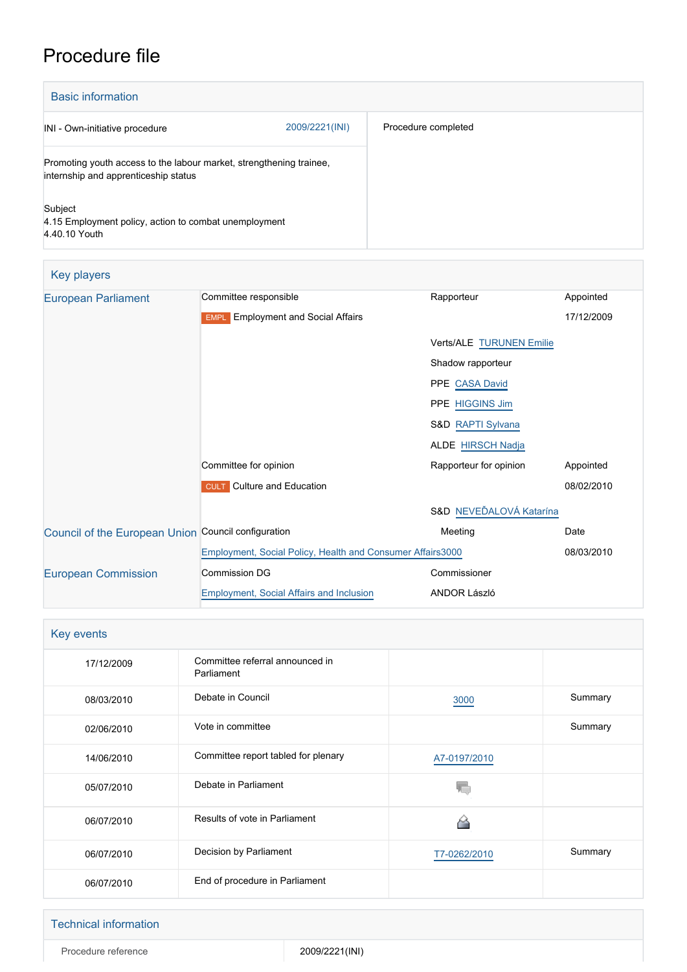# Procedure file

| <b>Basic information</b>                                                                                    |                |                     |
|-------------------------------------------------------------------------------------------------------------|----------------|---------------------|
| INI - Own-initiative procedure                                                                              | 2009/2221(INI) | Procedure completed |
| Promoting youth access to the labour market, strengthening trainee,<br>internship and apprenticeship status |                |                     |
| Subject<br>4.15 Employment policy, action to combat unemployment<br>4.40.10 Youth                           |                |                     |

| Key players                                         |                                                            |                          |            |
|-----------------------------------------------------|------------------------------------------------------------|--------------------------|------------|
| <b>European Parliament</b>                          | Committee responsible                                      | Rapporteur               | Appointed  |
|                                                     | <b>Employment and Social Affairs</b><br><b>EMPL</b>        |                          | 17/12/2009 |
|                                                     |                                                            | Verts/ALE TURUNEN Emilie |            |
|                                                     |                                                            | Shadow rapporteur        |            |
|                                                     |                                                            | PPE CASA David           |            |
|                                                     |                                                            | PPE HIGGINS Jim          |            |
|                                                     |                                                            | S&D RAPTI Sylvana        |            |
|                                                     |                                                            | <b>ALDE HIRSCH Nadja</b> |            |
|                                                     | Committee for opinion                                      | Rapporteur for opinion   | Appointed  |
|                                                     | <b>CULT</b> Culture and Education                          |                          | 08/02/2010 |
|                                                     |                                                            | S&D NEVEĎALOVÁ Katarína  |            |
| Council of the European Union Council configuration |                                                            | Meeting                  | Date       |
|                                                     | Employment, Social Policy, Health and Consumer Affairs3000 |                          | 08/03/2010 |
| <b>European Commission</b>                          | <b>Commission DG</b>                                       | Commissioner             |            |
|                                                     | <b>Employment, Social Affairs and Inclusion</b>            | <b>ANDOR László</b>      |            |

| Key events |                                               |              |         |
|------------|-----------------------------------------------|--------------|---------|
| 17/12/2009 | Committee referral announced in<br>Parliament |              |         |
| 08/03/2010 | Debate in Council                             | 3000         | Summary |
| 02/06/2010 | Vote in committee                             |              | Summary |
| 14/06/2010 | Committee report tabled for plenary           | A7-0197/2010 |         |
| 05/07/2010 | Debate in Parliament                          |              |         |
| 06/07/2010 | Results of vote in Parliament                 |              |         |
| 06/07/2010 | Decision by Parliament                        | T7-0262/2010 | Summary |
| 06/07/2010 | End of procedure in Parliament                |              |         |

#### Technical information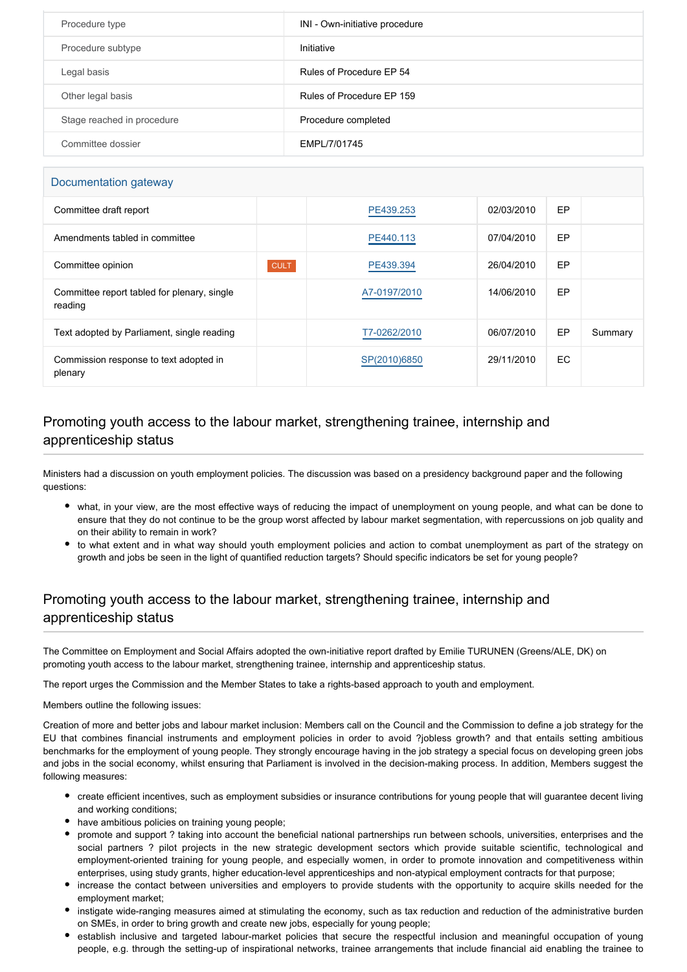| Procedure type             | INI - Own-initiative procedure |
|----------------------------|--------------------------------|
| Procedure subtype          | Initiative                     |
| Legal basis                | Rules of Procedure EP 54       |
| Other legal basis          | Rules of Procedure EP 159      |
| Stage reached in procedure | Procedure completed            |
| Committee dossier          | EMPL/7/01745                   |

#### Documentation gateway

| Committee draft report                                 |             | PE439.253    | 02/03/2010 | EP        |         |
|--------------------------------------------------------|-------------|--------------|------------|-----------|---------|
| Amendments tabled in committee                         |             | PE440.113    | 07/04/2010 | <b>EP</b> |         |
| Committee opinion                                      | <b>CULT</b> | PE439.394    | 26/04/2010 | <b>EP</b> |         |
| Committee report tabled for plenary, single<br>reading |             | A7-0197/2010 | 14/06/2010 | EP        |         |
| Text adopted by Parliament, single reading             |             | T7-0262/2010 | 06/07/2010 | EP        | Summary |
| Commission response to text adopted in<br>plenary      |             | SP(2010)6850 | 29/11/2010 | EC        |         |

### Promoting youth access to the labour market, strengthening trainee, internship and apprenticeship status

Ministers had a discussion on youth employment policies. The discussion was based on a presidency background paper and the following questions:

- what, in your view, are the most effective ways of reducing the impact of unemployment on young people, and what can be done to ensure that they do not continue to be the group worst affected by labour market segmentation, with repercussions on job quality and on their ability to remain in work?
- to what extent and in what way should youth employment policies and action to combat unemployment as part of the strategy on growth and jobs be seen in the light of quantified reduction targets? Should specific indicators be set for young people?

### Promoting youth access to the labour market, strengthening trainee, internship and apprenticeship status

The Committee on Employment and Social Affairs adopted the own-initiative report drafted by Emilie TURUNEN (Greens/ALE, DK) on promoting youth access to the labour market, strengthening trainee, internship and apprenticeship status.

The report urges the Commission and the Member States to take a rights-based approach to youth and employment.

#### Members outline the following issues:

Creation of more and better jobs and labour market inclusion: Members call on the Council and the Commission to define a job strategy for the EU that combines financial instruments and employment policies in order to avoid ?jobless growth? and that entails setting ambitious benchmarks for the employment of young people. They strongly encourage having in the job strategy a special focus on developing green jobs and jobs in the social economy, whilst ensuring that Parliament is involved in the decision-making process. In addition, Members suggest the following measures:

- create efficient incentives, such as employment subsidies or insurance contributions for young people that will guarantee decent living and working conditions;
- have ambitious policies on training young people;
- promote and support ? taking into account the beneficial national partnerships run between schools, universities, enterprises and the social partners ? pilot projects in the new strategic development sectors which provide suitable scientific, technological and employment-oriented training for young people, and especially women, in order to promote innovation and competitiveness within enterprises, using study grants, higher education-level apprenticeships and non-atypical employment contracts for that purpose;
- increase the contact between universities and employers to provide students with the opportunity to acquire skills needed for the employment market;
- instigate wide-ranging measures aimed at stimulating the economy, such as tax reduction and reduction of the administrative burden on SMEs, in order to bring growth and create new jobs, especially for young people;
- establish inclusive and targeted labour-market policies that secure the respectful inclusion and meaningful occupation of young people, e.g. through the setting-up of inspirational networks, trainee arrangements that include financial aid enabling the trainee to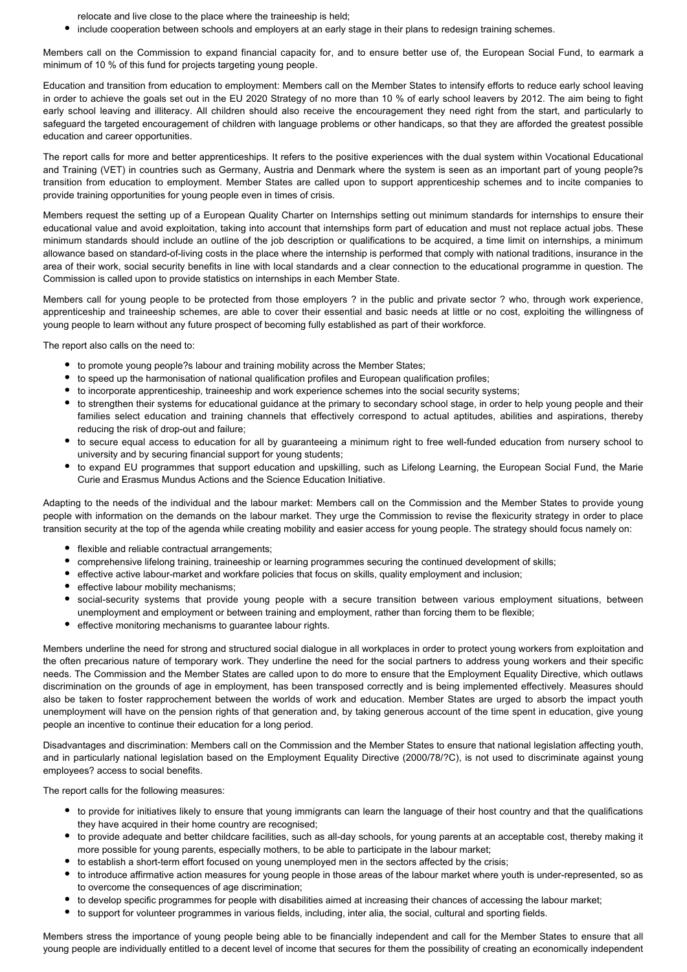relocate and live close to the place where the traineeship is held;

include cooperation between schools and employers at an early stage in their plans to redesign training schemes.

Members call on the Commission to expand financial capacity for, and to ensure better use of, the European Social Fund, to earmark a minimum of 10 % of this fund for projects targeting young people.

Education and transition from education to employment: Members call on the Member States to intensify efforts to reduce early school leaving in order to achieve the goals set out in the EU 2020 Strategy of no more than 10 % of early school leavers by 2012. The aim being to fight early school leaving and illiteracy. All children should also receive the encouragement they need right from the start, and particularly to safeguard the targeted encouragement of children with language problems or other handicaps, so that they are afforded the greatest possible education and career opportunities.

The report calls for more and better apprenticeships. It refers to the positive experiences with the dual system within Vocational Educational and Training (VET) in countries such as Germany, Austria and Denmark where the system is seen as an important part of young people?s transition from education to employment. Member States are called upon to support apprenticeship schemes and to incite companies to provide training opportunities for young people even in times of crisis.

Members request the setting up of a European Quality Charter on Internships setting out minimum standards for internships to ensure their educational value and avoid exploitation, taking into account that internships form part of education and must not replace actual jobs. These minimum standards should include an outline of the job description or qualifications to be acquired, a time limit on internships, a minimum allowance based on standard-of-living costs in the place where the internship is performed that comply with national traditions, insurance in the area of their work, social security benefits in line with local standards and a clear connection to the educational programme in question. The Commission is called upon to provide statistics on internships in each Member State.

Members call for young people to be protected from those employers ? in the public and private sector ? who, through work experience, apprenticeship and traineeship schemes, are able to cover their essential and basic needs at little or no cost, exploiting the willingness of young people to learn without any future prospect of becoming fully established as part of their workforce.

The report also calls on the need to:

- to promote young people?s labour and training mobility across the Member States;
- to speed up the harmonisation of national qualification profiles and European qualification profiles;
- to incorporate apprenticeship, traineeship and work experience schemes into the social security systems;
- to strengthen their systems for educational guidance at the primary to secondary school stage, in order to help young people and their families select education and training channels that effectively correspond to actual aptitudes, abilities and aspirations, thereby reducing the risk of drop-out and failure;
- to secure equal access to education for all by guaranteeing a minimum right to free well-funded education from nursery school to university and by securing financial support for young students;
- to expand EU programmes that support education and upskilling, such as Lifelong Learning, the European Social Fund, the Marie Curie and Erasmus Mundus Actions and the Science Education Initiative.

Adapting to the needs of the individual and the labour market: Members call on the Commission and the Member States to provide young people with information on the demands on the labour market. They urge the Commission to revise the flexicurity strategy in order to place transition security at the top of the agenda while creating mobility and easier access for young people. The strategy should focus namely on:

- flexible and reliable contractual arrangements;
- comprehensive lifelong training, traineeship or learning programmes securing the continued development of skills;
- effective active labour-market and workfare policies that focus on skills, quality employment and inclusion;
- effective labour mobility mechanisms;
- social-security systems that provide young people with a secure transition between various employment situations, between unemployment and employment or between training and employment, rather than forcing them to be flexible;
- effective monitoring mechanisms to guarantee labour rights.

Members underline the need for strong and structured social dialogue in all workplaces in order to protect young workers from exploitation and the often precarious nature of temporary work. They underline the need for the social partners to address young workers and their specific needs. The Commission and the Member States are called upon to do more to ensure that the Employment Equality Directive, which outlaws discrimination on the grounds of age in employment, has been transposed correctly and is being implemented effectively. Measures should also be taken to foster rapprochement between the worlds of work and education. Member States are urged to absorb the impact youth unemployment will have on the pension rights of that generation and, by taking generous account of the time spent in education, give young people an incentive to continue their education for a long period.

Disadvantages and discrimination: Members call on the Commission and the Member States to ensure that national legislation affecting youth, and in particularly national legislation based on the Employment Equality Directive (2000/78/?C), is not used to discriminate against young employees? access to social benefits.

The report calls for the following measures:

- to provide for initiatives likely to ensure that young immigrants can learn the language of their host country and that the qualifications they have acquired in their home country are recognised;
- to provide adequate and better childcare facilities, such as all-day schools, for young parents at an acceptable cost, thereby making it more possible for young parents, especially mothers, to be able to participate in the labour market;
- to establish a short-term effort focused on young unemployed men in the sectors affected by the crisis;
- to introduce affirmative action measures for young people in those areas of the labour market where youth is under-represented, so as to overcome the consequences of age discrimination;
- to develop specific programmes for people with disabilities aimed at increasing their chances of accessing the labour market;
- to support for volunteer programmes in various fields, including, inter alia, the social, cultural and sporting fields.

Members stress the importance of young people being able to be financially independent and call for the Member States to ensure that all young people are individually entitled to a decent level of income that secures for them the possibility of creating an economically independent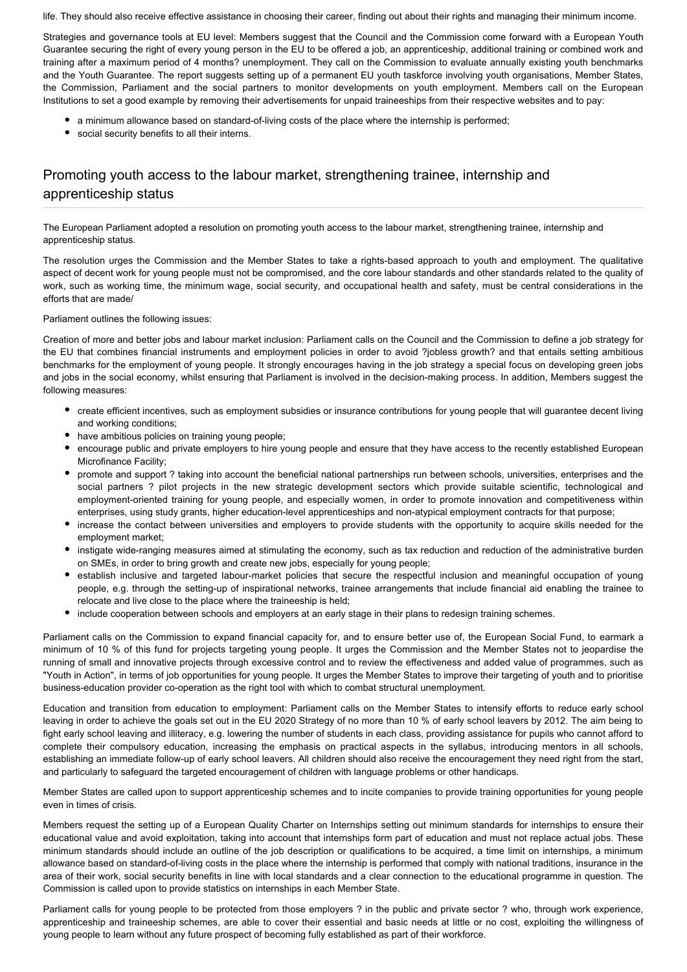life. They should also receive effective assistance in choosing their career, finding out about their rights and managing their minimum income.

Strategies and governance tools at EU level: Members suggest that the Council and the Commission come forward with a European Youth Guarantee securing the right of every young person in the EU to be offered a job, an apprenticeship, additional training or combined work and training after a maximum period of 4 months? unemployment. They call on the Commission to evaluate annually existing youth benchmarks and the Youth Guarantee. The report suggests setting up of a permanent EU youth taskforce involving youth organisations, Member States, the Commission, Parliament and the social partners to monitor developments on youth employment. Members call on the European Institutions to set a good example by removing their advertisements for unpaid traineeships from their respective websites and to pay:

- a minimum allowance based on standard-of-living costs of the place where the internship is performed;
- social security benefits to all their interns.

## Promoting youth access to the labour market, strengthening trainee, internship and apprenticeship status

The European Parliament adopted a resolution on promoting youth access to the labour market, strengthening trainee, internship and apprenticeship status.

The resolution urges the Commission and the Member States to take a rights-based approach to youth and employment. The qualitative aspect of decent work for young people must not be compromised, and the core labour standards and other standards related to the quality of work, such as working time, the minimum wage, social security, and occupational health and safety, must be central considerations in the efforts that are made/

Parliament outlines the following issues:

Creation of more and better jobs and labour market inclusion: Parliament calls on the Council and the Commission to define a job strategy for the EU that combines financial instruments and employment policies in order to avoid ?jobless growth? and that entails setting ambitious benchmarks for the employment of young people. It strongly encourages having in the job strategy a special focus on developing green jobs and jobs in the social economy, whilst ensuring that Parliament is involved in the decision-making process. In addition, Members suggest the following measures:

- create efficient incentives, such as employment subsidies or insurance contributions for young people that will guarantee decent living and working conditions;
- have ambitious policies on training young people;
- encourage public and private employers to hire young people and ensure that they have access to the recently established European Microfinance Facility;
- promote and support ? taking into account the beneficial national partnerships run between schools, universities, enterprises and the social partners ? pilot projects in the new strategic development sectors which provide suitable scientific, technological and employment-oriented training for young people, and especially women, in order to promote innovation and competitiveness within enterprises, using study grants, higher education-level apprenticeships and non-atypical employment contracts for that purpose;
- increase the contact between universities and employers to provide students with the opportunity to acquire skills needed for the employment market;
- instigate wide-ranging measures aimed at stimulating the economy, such as tax reduction and reduction of the administrative burden on SMEs, in order to bring growth and create new jobs, especially for young people;
- establish inclusive and targeted labour-market policies that secure the respectful inclusion and meaningful occupation of young people, e.g. through the setting-up of inspirational networks, trainee arrangements that include financial aid enabling the trainee to relocate and live close to the place where the traineeship is held;
- include cooperation between schools and employers at an early stage in their plans to redesign training schemes.

Parliament calls on the Commission to expand financial capacity for, and to ensure better use of, the European Social Fund, to earmark a minimum of 10 % of this fund for projects targeting young people. It urges the Commission and the Member States not to jeopardise the running of small and innovative projects through excessive control and to review the effectiveness and added value of programmes, such as "Youth in Action", in terms of job opportunities for young people. It urges the Member States to improve their targeting of youth and to prioritise business-education provider co-operation as the right tool with which to combat structural unemployment.

Education and transition from education to employment: Parliament calls on the Member States to intensify efforts to reduce early school leaving in order to achieve the goals set out in the EU 2020 Strategy of no more than 10 % of early school leavers by 2012. The aim being to fight early school leaving and illiteracy, e.g. lowering the number of students in each class, providing assistance for pupils who cannot afford to complete their compulsory education, increasing the emphasis on practical aspects in the syllabus, introducing mentors in all schools, establishing an immediate follow-up of early school leavers. All children should also receive the encouragement they need right from the start, and particularly to safeguard the targeted encouragement of children with language problems or other handicaps.

Member States are called upon to support apprenticeship schemes and to incite companies to provide training opportunities for young people even in times of crisis.

Members request the setting up of a European Quality Charter on Internships setting out minimum standards for internships to ensure their educational value and avoid exploitation, taking into account that internships form part of education and must not replace actual jobs. These minimum standards should include an outline of the job description or qualifications to be acquired, a time limit on internships, a minimum allowance based on standard-of-living costs in the place where the internship is performed that comply with national traditions, insurance in the area of their work, social security benefits in line with local standards and a clear connection to the educational programme in question. The Commission is called upon to provide statistics on internships in each Member State.

Parliament calls for young people to be protected from those employers ? in the public and private sector ? who, through work experience, apprenticeship and traineeship schemes, are able to cover their essential and basic needs at little or no cost, exploiting the willingness of young people to learn without any future prospect of becoming fully established as part of their workforce.